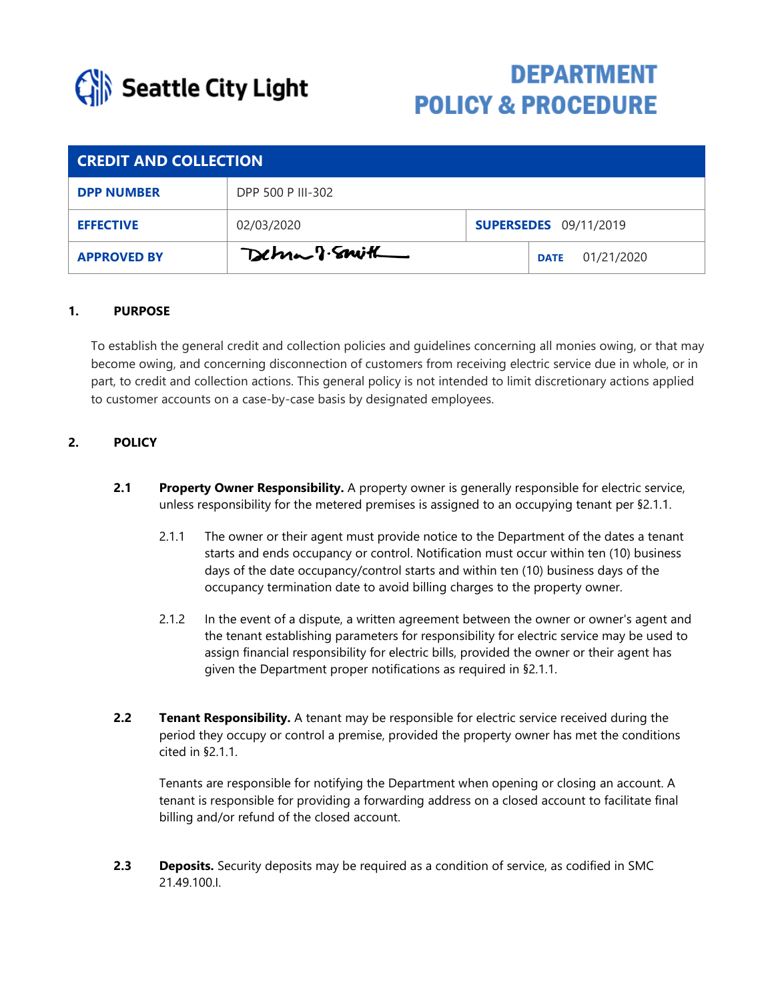

# **DEPARTMENT POLICY & PROCEDURE**

| <b>CREDIT AND COLLECTION</b> |                   |  |                              |  |
|------------------------------|-------------------|--|------------------------------|--|
| <b>DPP NUMBER</b>            | DPP 500 P III-302 |  |                              |  |
| <b>EFFECTIVE</b>             | 02/03/2020        |  | <b>SUPERSEDES</b> 09/11/2019 |  |
| <b>APPROVED BY</b>           | Detrion of Smith  |  | 01/21/2020<br><b>DATE</b>    |  |

### **1. PURPOSE**

To establish the general credit and collection policies and guidelines concerning all monies owing, or that may become owing, and concerning disconnection of customers from receiving electric service due in whole, or in part, to credit and collection actions. This general policy is not intended to limit discretionary actions applied to customer accounts on a case-by-case basis by designated employees.

# **2. POLICY**

- **2.1 Property Owner Responsibility.** A property owner is generally responsible for electric service, unless responsibility for the metered premises is assigned to an occupying tenant per §2.1.1.
	- 2.1.1 The owner or their agent must provide notice to the Department of the dates a tenant starts and ends occupancy or control. Notification must occur within ten (10) business days of the date occupancy/control starts and within ten (10) business days of the occupancy termination date to avoid billing charges to the property owner.
	- 2.1.2 In the event of a dispute, a written agreement between the owner or owner's agent and the tenant establishing parameters for responsibility for electric service may be used to assign financial responsibility for electric bills, provided the owner or their agent has given the Department proper notifications as required in §2.1.1.
- **2.2 Tenant Responsibility.** A tenant may be responsible for electric service received during the period they occupy or control a premise, provided the property owner has met the conditions cited in §2.1.1.

Tenants are responsible for notifying the Department when opening or closing an account. A tenant is responsible for providing a forwarding address on a closed account to facilitate final billing and/or refund of the closed account.

**2.3 Deposits.** Security deposits may be required as a condition of service, as codified in SMC 21.49.100.I.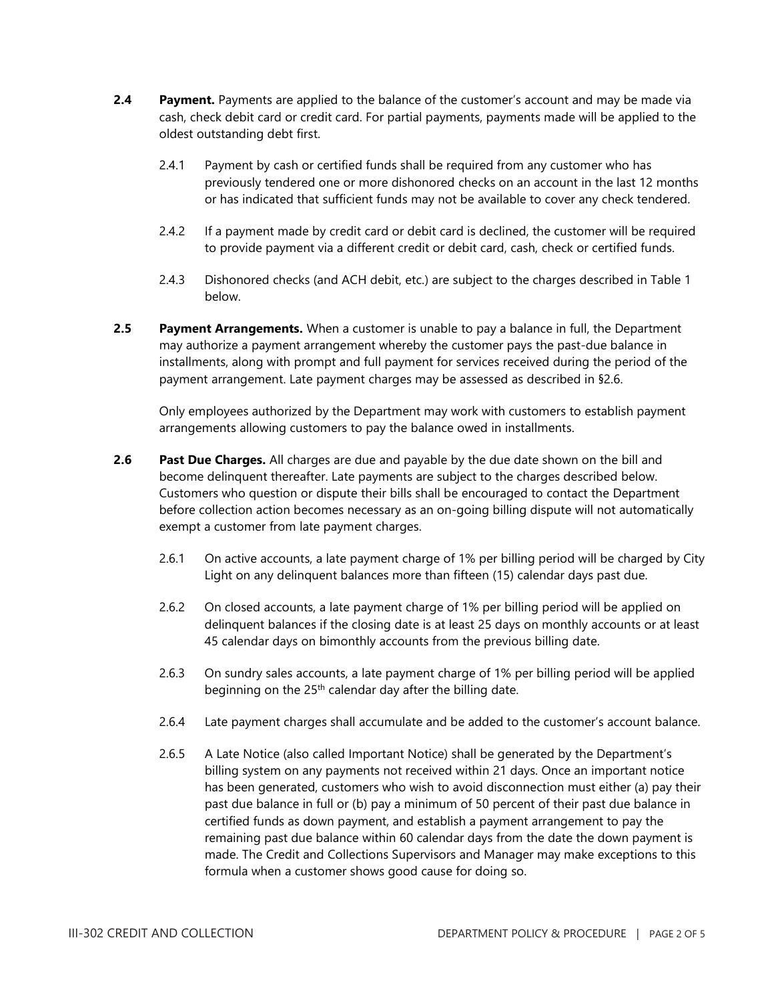- **2.4 Payment.** Payments are applied to the balance of the customer's account and may be made via cash, check debit card or credit card. For partial payments, payments made will be applied to the oldest outstanding debt first.
	- 2.4.1 Payment by cash or certified funds shall be required from any customer who has previously tendered one or more dishonored checks on an account in the last 12 months or has indicated that sufficient funds may not be available to cover any check tendered.
	- 2.4.2 If a payment made by credit card or debit card is declined, the customer will be required to provide payment via a different credit or debit card, cash, check or certified funds.
	- 2.4.3 Dishonored checks (and ACH debit, etc.) are subject to the charges described in Table 1 below.
- **2.5 Payment Arrangements.** When a customer is unable to pay a balance in full, the Department may authorize a payment arrangement whereby the customer pays the past-due balance in installments, along with prompt and full payment for services received during the period of the payment arrangement. Late payment charges may be assessed as described in §2.6.

Only employees authorized by the Department may work with customers to establish payment arrangements allowing customers to pay the balance owed in installments.

- **2.6 Past Due Charges.** All charges are due and payable by the due date shown on the bill and become delinquent thereafter. Late payments are subject to the charges described below. Customers who question or dispute their bills shall be encouraged to contact the Department before collection action becomes necessary as an on-going billing dispute will not automatically exempt a customer from late payment charges.
	- 2.6.1 On active accounts, a late payment charge of 1% per billing period will be charged by City Light on any delinquent balances more than fifteen (15) calendar days past due.
	- 2.6.2 On closed accounts, a late payment charge of 1% per billing period will be applied on delinquent balances if the closing date is at least 25 days on monthly accounts or at least 45 calendar days on bimonthly accounts from the previous billing date.
	- 2.6.3 On sundry sales accounts, a late payment charge of 1% per billing period will be applied beginning on the  $25<sup>th</sup>$  calendar day after the billing date.
	- 2.6.4 Late payment charges shall accumulate and be added to the customer's account balance.
	- 2.6.5 A Late Notice (also called Important Notice) shall be generated by the Department's billing system on any payments not received within 21 days. Once an important notice has been generated, customers who wish to avoid disconnection must either (a) pay their past due balance in full or (b) pay a minimum of 50 percent of their past due balance in certified funds as down payment, and establish a payment arrangement to pay the remaining past due balance within 60 calendar days from the date the down payment is made. The Credit and Collections Supervisors and Manager may make exceptions to this formula when a customer shows good cause for doing so.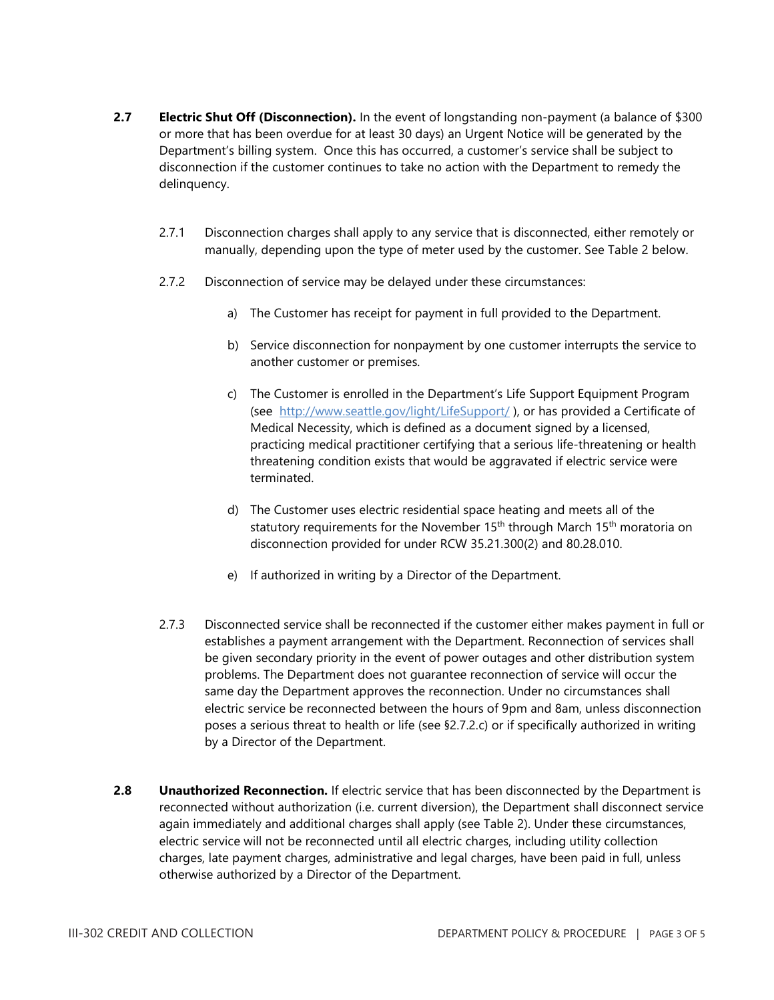- **2.7 Electric Shut Off (Disconnection).** In the event of longstanding non-payment (a balance of \$300 or more that has been overdue for at least 30 days) an Urgent Notice will be generated by the Department's billing system. Once this has occurred, a customer's service shall be subject to disconnection if the customer continues to take no action with the Department to remedy the delinquency.
	- 2.7.1 Disconnection charges shall apply to any service that is disconnected, either remotely or manually, depending upon the type of meter used by the customer. See Table 2 below.
	- 2.7.2 Disconnection of service may be delayed under these circumstances:
		- a) The Customer has receipt for payment in full provided to the Department.
		- b) Service disconnection for nonpayment by one customer interrupts the service to another customer or premises.
		- c) The Customer is enrolled in the Department's Life Support Equipment Program (see <http://www.seattle.gov/light/LifeSupport/>), or has provided a Certificate of Medical Necessity, which is defined as a document signed by a licensed, practicing medical practitioner certifying that a serious life-threatening or health threatening condition exists that would be aggravated if electric service were terminated.
		- d) The Customer uses electric residential space heating and meets all of the statutory requirements for the November 15<sup>th</sup> through March 15<sup>th</sup> moratoria on disconnection provided for under RCW 35.21.300(2) and 80.28.010.
		- e) If authorized in writing by a Director of the Department.
	- 2.7.3 Disconnected service shall be reconnected if the customer either makes payment in full or establishes a payment arrangement with the Department. Reconnection of services shall be given secondary priority in the event of power outages and other distribution system problems. The Department does not guarantee reconnection of service will occur the same day the Department approves the reconnection. Under no circumstances shall electric service be reconnected between the hours of 9pm and 8am, unless disconnection poses a serious threat to health or life (see §2.7.2.c) or if specifically authorized in writing by a Director of the Department.
- 2.8 **Unauthorized Reconnection.** If electric service that has been disconnected by the Department is reconnected without authorization (i.e. current diversion), the Department shall disconnect service again immediately and additional charges shall apply (see Table 2). Under these circumstances, electric service will not be reconnected until all electric charges, including utility collection charges, late payment charges, administrative and legal charges, have been paid in full, unless otherwise authorized by a Director of the Department.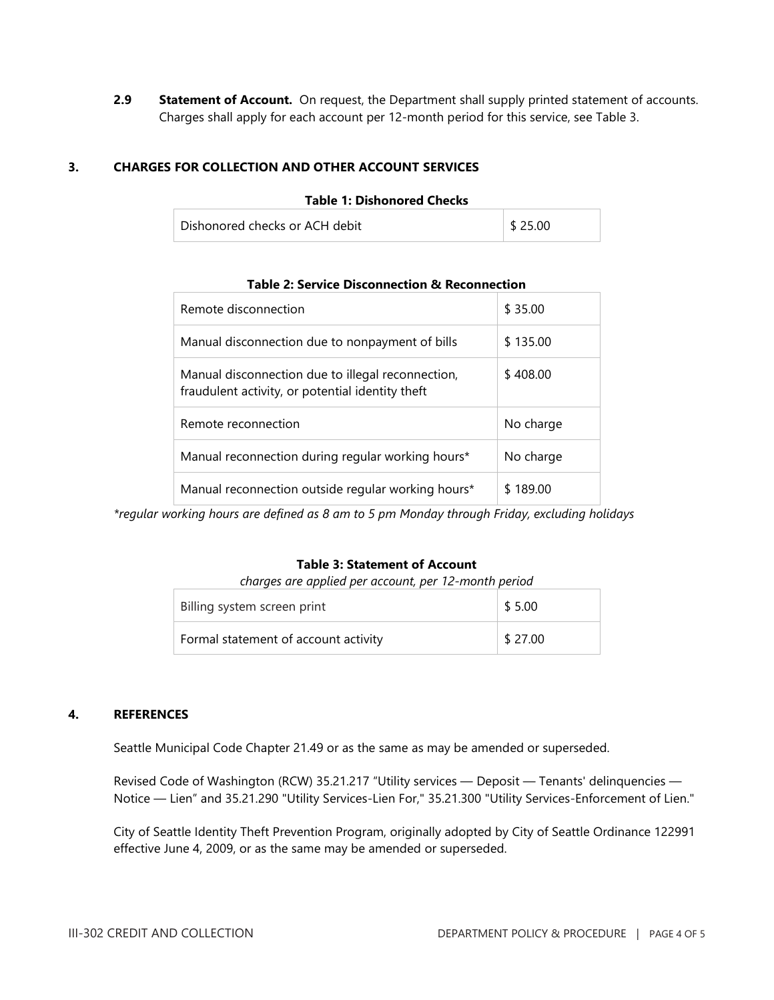2.9 **Statement of Account.** On request, the Department shall supply printed statement of accounts. Charges shall apply for each account per 12-month period for this service, see Table 3.

## **3. CHARGES FOR COLLECTION AND OTHER ACCOUNT SERVICES**

| Table T. Distigliofed Checks   |                        |  |  |  |
|--------------------------------|------------------------|--|--|--|
| Dishonored checks or ACH debit | $\frac{1}{2}$ \$ 25.00 |  |  |  |

**Table 1: Dishonored Checks**

| Remote disconnection                                                                                  | \$35.00   |
|-------------------------------------------------------------------------------------------------------|-----------|
| Manual disconnection due to nonpayment of bills                                                       | \$135.00  |
| Manual disconnection due to illegal reconnection,<br>fraudulent activity, or potential identity theft | \$408.00  |
| Remote reconnection                                                                                   | No charge |
| Manual reconnection during regular working hours*                                                     | No charge |
| Manual reconnection outside regular working hours*                                                    | \$189.00  |

#### **Table 2: Service Disconnection & Reconnection**

*\*regular working hours are defined as 8 am to 5 pm Monday through Friday, excluding holidays*

#### **Table 3: Statement of Account**

*charges are applied per account, per 12-month period*

| Billing system screen print          | \$5.00  |
|--------------------------------------|---------|
| Formal statement of account activity | \$27.00 |

#### **4. REFERENCES**

Seattle Municipal Code Chapter 21.49 or as the same as may be amended or superseded.

Revised Code of Washington (RCW) 35.21.217 "Utility services — Deposit — Tenants' delinquencies — Notice — Lien" and 35.21.290 "Utility Services-Lien For," 35.21.300 "Utility Services-Enforcement of Lien."

City of Seattle Identity Theft Prevention Program, originally adopted by City of Seattle Ordinance 122991 effective June 4, 2009, or as the same may be amended or superseded.